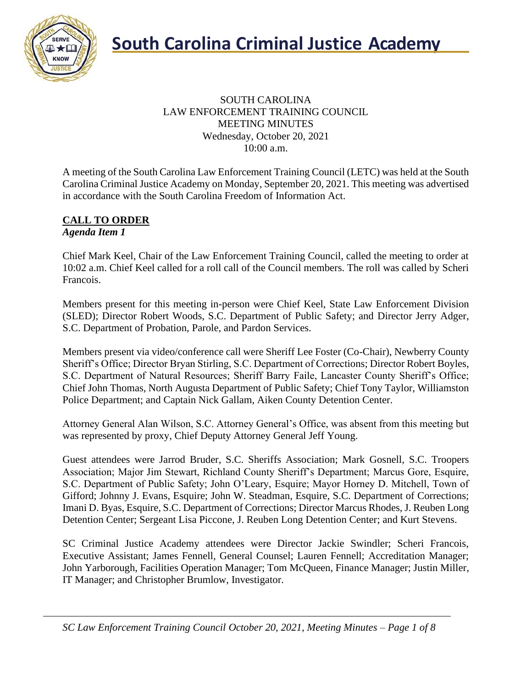

#### SOUTH CAROLINA LAW ENFORCEMENT TRAINING COUNCIL MEETING MINUTES Wednesday, October 20, 2021 10:00 a.m.

A meeting of the South Carolina Law Enforcement Training Council (LETC) was held at the South Carolina Criminal Justice Academy on Monday, September 20, 2021. This meeting was advertised in accordance with the South Carolina Freedom of Information Act.

#### **CALL TO ORDER** *Agenda Item 1*

Chief Mark Keel, Chair of the Law Enforcement Training Council, called the meeting to order at 10:02 a.m. Chief Keel called for a roll call of the Council members. The roll was called by Scheri Francois.

Members present for this meeting in-person were Chief Keel, State Law Enforcement Division (SLED); Director Robert Woods, S.C. Department of Public Safety; and Director Jerry Adger, S.C. Department of Probation, Parole, and Pardon Services.

Members present via video/conference call were Sheriff Lee Foster (Co-Chair), Newberry County Sheriff's Office; Director Bryan Stirling, S.C. Department of Corrections; Director Robert Boyles, S.C. Department of Natural Resources; Sheriff Barry Faile, Lancaster County Sheriff's Office; Chief John Thomas, North Augusta Department of Public Safety; Chief Tony Taylor, Williamston Police Department; and Captain Nick Gallam, Aiken County Detention Center.

Attorney General Alan Wilson, S.C. Attorney General's Office, was absent from this meeting but was represented by proxy, Chief Deputy Attorney General Jeff Young.

Guest attendees were Jarrod Bruder, S.C. Sheriffs Association; Mark Gosnell, S.C. Troopers Association; Major Jim Stewart, Richland County Sheriff's Department; Marcus Gore, Esquire, S.C. Department of Public Safety; John O'Leary, Esquire; Mayor Horney D. Mitchell, Town of Gifford; Johnny J. Evans, Esquire; John W. Steadman, Esquire, S.C. Department of Corrections; Imani D. Byas, Esquire, S.C. Department of Corrections; Director Marcus Rhodes, J. Reuben Long Detention Center; Sergeant Lisa Piccone, J. Reuben Long Detention Center; and Kurt Stevens.

SC Criminal Justice Academy attendees were Director Jackie Swindler; Scheri Francois, Executive Assistant; James Fennell, General Counsel; Lauren Fennell; Accreditation Manager; John Yarborough, Facilities Operation Manager; Tom McQueen, Finance Manager; Justin Miller, IT Manager; and Christopher Brumlow, Investigator.

*SC Law Enforcement Training Council October 20, 2021, Meeting Minutes – Page 1 of 8*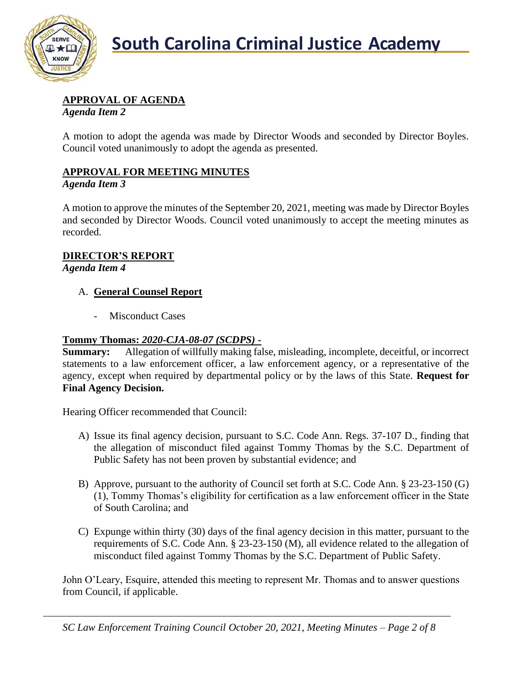

# **APPROVAL OF AGENDA**

*Agenda Item 2*

A motion to adopt the agenda was made by Director Woods and seconded by Director Boyles. Council voted unanimously to adopt the agenda as presented.

# **APPROVAL FOR MEETING MINUTES**

#### *Agenda Item 3*

A motion to approve the minutes of the September 20, 2021, meeting was made by Director Boyles and seconded by Director Woods. Council voted unanimously to accept the meeting minutes as recorded.

### **DIRECTOR'S REPORT**

*Agenda Item 4*

### A. **General Counsel Report**

- Misconduct Cases

### **Tommy Thomas:** *2020-CJA-08-07 (SCDPS)* **-**

**Summary:** Allegation of willfully making false, misleading, incomplete, deceitful, or incorrect statements to a law enforcement officer, a law enforcement agency, or a representative of the agency, except when required by departmental policy or by the laws of this State. **Request for Final Agency Decision.**

Hearing Officer recommended that Council:

- A) Issue its final agency decision, pursuant to S.C. Code Ann. Regs. 37-107 D., finding that the allegation of misconduct filed against Tommy Thomas by the S.C. Department of Public Safety has not been proven by substantial evidence; and
- B) Approve, pursuant to the authority of Council set forth at S.C. Code Ann. § 23-23-150 (G) (1), Tommy Thomas's eligibility for certification as a law enforcement officer in the State of South Carolina; and
- C) Expunge within thirty (30) days of the final agency decision in this matter, pursuant to the requirements of S.C. Code Ann. § 23-23-150 (M), all evidence related to the allegation of misconduct filed against Tommy Thomas by the S.C. Department of Public Safety.

John O'Leary, Esquire, attended this meeting to represent Mr. Thomas and to answer questions from Council, if applicable.

*SC Law Enforcement Training Council October 20, 2021, Meeting Minutes – Page 2 of 8*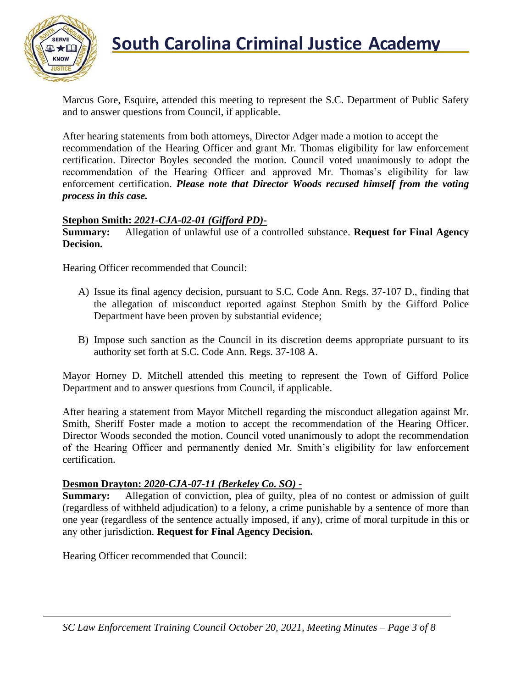

# **South Carolina Criminal Justice Academy**

Marcus Gore, Esquire, attended this meeting to represent the S.C. Department of Public Safety and to answer questions from Council, if applicable.

After hearing statements from both attorneys, Director Adger made a motion to accept the recommendation of the Hearing Officer and grant Mr. Thomas eligibility for law enforcement certification. Director Boyles seconded the motion. Council voted unanimously to adopt the recommendation of the Hearing Officer and approved Mr. Thomas's eligibility for law enforcement certification. *Please note that Director Woods recused himself from the voting process in this case.*

#### **Stephon Smith:** *2021-CJA-02-01 (Gifford PD)***-**

**Summary:** Allegation of unlawful use of a controlled substance. **Request for Final Agency Decision.**

Hearing Officer recommended that Council:

- A) Issue its final agency decision, pursuant to S.C. Code Ann. Regs. 37-107 D., finding that the allegation of misconduct reported against Stephon Smith by the Gifford Police Department have been proven by substantial evidence;
- B) Impose such sanction as the Council in its discretion deems appropriate pursuant to its authority set forth at S.C. Code Ann. Regs. 37-108 A.

Mayor Horney D. Mitchell attended this meeting to represent the Town of Gifford Police Department and to answer questions from Council, if applicable.

After hearing a statement from Mayor Mitchell regarding the misconduct allegation against Mr. Smith, Sheriff Foster made a motion to accept the recommendation of the Hearing Officer. Director Woods seconded the motion. Council voted unanimously to adopt the recommendation of the Hearing Officer and permanently denied Mr. Smith's eligibility for law enforcement certification.

#### **Desmon Drayton:** *2020-CJA-07-11 (Berkeley Co. SO) -*

**Summary:** Allegation of conviction, plea of guilty, plea of no contest or admission of guilt (regardless of withheld adjudication) to a felony, a crime punishable by a sentence of more than one year (regardless of the sentence actually imposed, if any), crime of moral turpitude in this or any other jurisdiction. **Request for Final Agency Decision.**

Hearing Officer recommended that Council: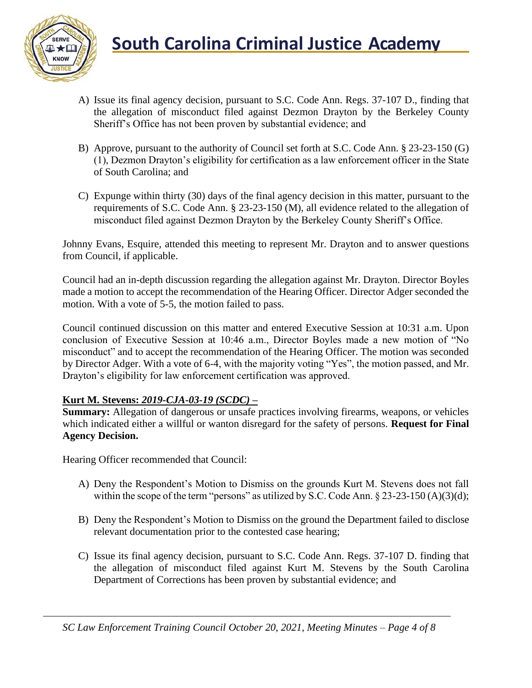

- A) Issue its final agency decision, pursuant to S.C. Code Ann. Regs. 37-107 D., finding that the allegation of misconduct filed against Dezmon Drayton by the Berkeley County Sheriff's Office has not been proven by substantial evidence; and
- B) Approve, pursuant to the authority of Council set forth at S.C. Code Ann. § 23-23-150 (G) (1), Dezmon Drayton's eligibility for certification as a law enforcement officer in the State of South Carolina; and
- C) Expunge within thirty (30) days of the final agency decision in this matter, pursuant to the requirements of S.C. Code Ann. § 23-23-150 (M), all evidence related to the allegation of misconduct filed against Dezmon Drayton by the Berkeley County Sheriff's Office.

Johnny Evans, Esquire, attended this meeting to represent Mr. Drayton and to answer questions from Council, if applicable.

Council had an in-depth discussion regarding the allegation against Mr. Drayton. Director Boyles made a motion to accept the recommendation of the Hearing Officer. Director Adger seconded the motion. With a vote of 5-5, the motion failed to pass.

Council continued discussion on this matter and entered Executive Session at 10:31 a.m. Upon conclusion of Executive Session at 10:46 a.m., Director Boyles made a new motion of "No misconduct" and to accept the recommendation of the Hearing Officer. The motion was seconded by Director Adger. With a vote of 6-4, with the majority voting "Yes", the motion passed, and Mr. Drayton's eligibility for law enforcement certification was approved.

# **Kurt M. Stevens:** *2019-CJA-03-19 (SCDC) –*

**Summary:** Allegation of dangerous or unsafe practices involving firearms, weapons, or vehicles which indicated either a willful or wanton disregard for the safety of persons. **Request for Final Agency Decision.**

Hearing Officer recommended that Council:

- A) Deny the Respondent's Motion to Dismiss on the grounds Kurt M. Stevens does not fall within the scope of the term "persons" as utilized by S.C. Code Ann.  $\S 23-23-150$  (A)(3)(d);
- B) Deny the Respondent's Motion to Dismiss on the ground the Department failed to disclose relevant documentation prior to the contested case hearing;
- C) Issue its final agency decision, pursuant to S.C. Code Ann. Regs. 37-107 D. finding that the allegation of misconduct filed against Kurt M. Stevens by the South Carolina Department of Corrections has been proven by substantial evidence; and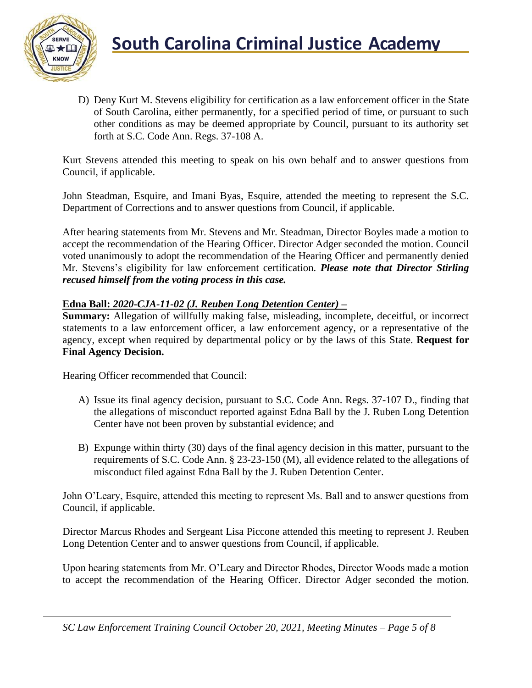

D) Deny Kurt M. Stevens eligibility for certification as a law enforcement officer in the State of South Carolina, either permanently, for a specified period of time, or pursuant to such other conditions as may be deemed appropriate by Council, pursuant to its authority set forth at S.C. Code Ann. Regs. 37-108 A.

Kurt Stevens attended this meeting to speak on his own behalf and to answer questions from Council, if applicable.

John Steadman, Esquire, and Imani Byas, Esquire, attended the meeting to represent the S.C. Department of Corrections and to answer questions from Council, if applicable.

After hearing statements from Mr. Stevens and Mr. Steadman, Director Boyles made a motion to accept the recommendation of the Hearing Officer. Director Adger seconded the motion. Council voted unanimously to adopt the recommendation of the Hearing Officer and permanently denied Mr. Stevens's eligibility for law enforcement certification. *Please note that Director Stirling recused himself from the voting process in this case.*

#### **Edna Ball:** *2020-CJA-11-02 (J. Reuben Long Detention Center) –*

**Summary:** Allegation of willfully making false, misleading, incomplete, deceitful, or incorrect statements to a law enforcement officer, a law enforcement agency, or a representative of the agency, except when required by departmental policy or by the laws of this State. **Request for Final Agency Decision.**

Hearing Officer recommended that Council:

- A) Issue its final agency decision, pursuant to S.C. Code Ann. Regs. 37-107 D., finding that the allegations of misconduct reported against Edna Ball by the J. Ruben Long Detention Center have not been proven by substantial evidence; and
- B) Expunge within thirty (30) days of the final agency decision in this matter, pursuant to the requirements of S.C. Code Ann. § 23-23-150 (M), all evidence related to the allegations of misconduct filed against Edna Ball by the J. Ruben Detention Center.

John O'Leary, Esquire, attended this meeting to represent Ms. Ball and to answer questions from Council, if applicable.

Director Marcus Rhodes and Sergeant Lisa Piccone attended this meeting to represent J. Reuben Long Detention Center and to answer questions from Council, if applicable.

Upon hearing statements from Mr. O'Leary and Director Rhodes, Director Woods made a motion to accept the recommendation of the Hearing Officer. Director Adger seconded the motion.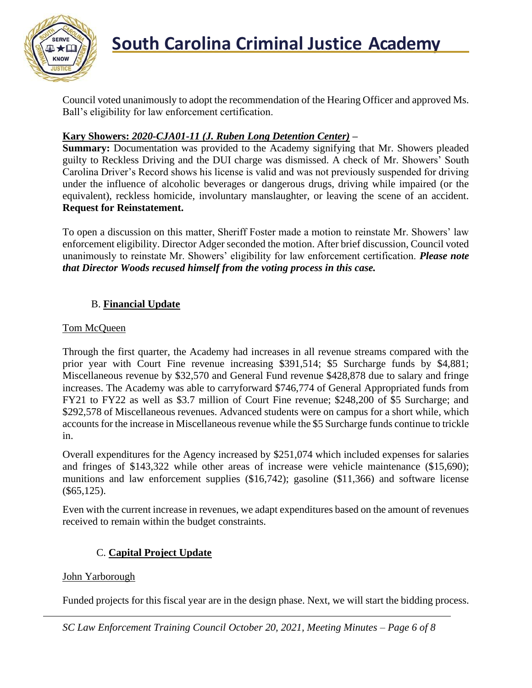

Council voted unanimously to adopt the recommendation of the Hearing Officer and approved Ms. Ball's eligibility for law enforcement certification.

#### **Kary Showers:** *2020-CJA01-11 (J. Ruben Long Detention Center)* **–**

**Summary:** Documentation was provided to the Academy signifying that Mr. Showers pleaded guilty to Reckless Driving and the DUI charge was dismissed. A check of Mr. Showers' South Carolina Driver's Record shows his license is valid and was not previously suspended for driving under the influence of alcoholic beverages or dangerous drugs, driving while impaired (or the equivalent), reckless homicide, involuntary manslaughter, or leaving the scene of an accident. **Request for Reinstatement.**

To open a discussion on this matter, Sheriff Foster made a motion to reinstate Mr. Showers' law enforcement eligibility. Director Adger seconded the motion. After brief discussion, Council voted unanimously to reinstate Mr. Showers' eligibility for law enforcement certification. *Please note that Director Woods recused himself from the voting process in this case.*

# B. **Financial Update**

#### Tom McQueen

Through the first quarter, the Academy had increases in all revenue streams compared with the prior year with Court Fine revenue increasing \$391,514; \$5 Surcharge funds by \$4,881; Miscellaneous revenue by \$32,570 and General Fund revenue \$428,878 due to salary and fringe increases. The Academy was able to carryforward \$746,774 of General Appropriated funds from FY21 to FY22 as well as \$3.7 million of Court Fine revenue; \$248,200 of \$5 Surcharge; and \$292,578 of Miscellaneous revenues. Advanced students were on campus for a short while, which accounts for the increase in Miscellaneous revenue while the \$5 Surcharge funds continue to trickle in.

Overall expenditures for the Agency increased by \$251,074 which included expenses for salaries and fringes of \$143,322 while other areas of increase were vehicle maintenance (\$15,690); munitions and law enforcement supplies (\$16,742); gasoline (\$11,366) and software license  $(\$65,125).$ 

Even with the current increase in revenues, we adapt expenditures based on the amount of revenues received to remain within the budget constraints.

#### C. **Capital Project Update**

#### John Yarborough

Funded projects for this fiscal year are in the design phase. Next, we will start the bidding process.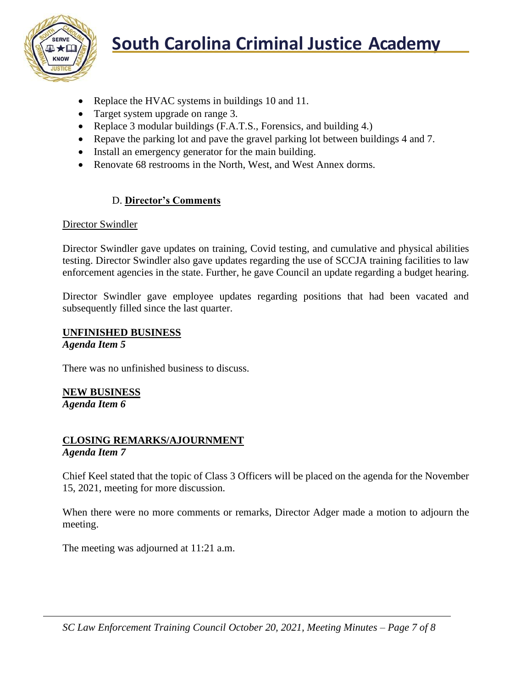

- Replace the HVAC systems in buildings 10 and 11.
- Target system upgrade on range 3.
- Replace 3 modular buildings (F.A.T.S., Forensics, and building 4.)
- Repave the parking lot and pave the gravel parking lot between buildings 4 and 7.
- Install an emergency generator for the main building.
- Renovate 68 restrooms in the North, West, and West Annex dorms.

#### D. **Director's Comments**

#### Director Swindler

Director Swindler gave updates on training, Covid testing, and cumulative and physical abilities testing. Director Swindler also gave updates regarding the use of SCCJA training facilities to law enforcement agencies in the state. Further, he gave Council an update regarding a budget hearing.

Director Swindler gave employee updates regarding positions that had been vacated and subsequently filled since the last quarter.

#### **UNFINISHED BUSINESS**

*Agenda Item 5*

There was no unfinished business to discuss.

**NEW BUSINESS** *Agenda Item 6*

# **CLOSING REMARKS/AJOURNMENT**

#### *Agenda Item 7*

Chief Keel stated that the topic of Class 3 Officers will be placed on the agenda for the November 15, 2021, meeting for more discussion.

When there were no more comments or remarks, Director Adger made a motion to adjourn the meeting.

The meeting was adjourned at 11:21 a.m.